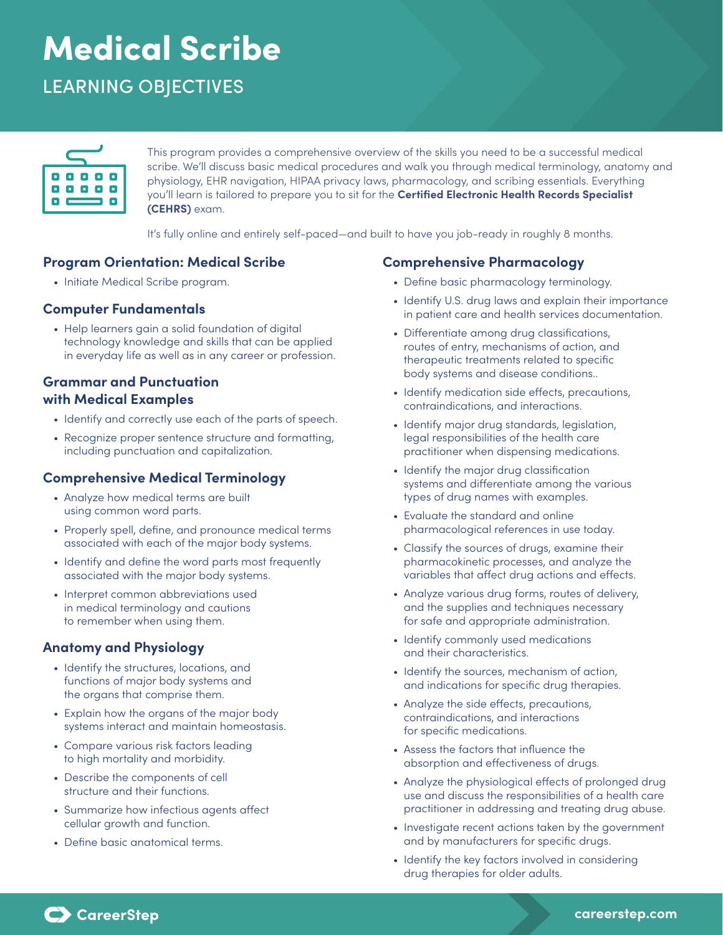# Medical Scribe

# LEARNING OBJECTIVES



This program provides a comprehensive overview of the skills you need to be a successful medical scribe. We'll discuss basic medical procedures and walk you through medical terminology, anatomy and physiology, EHR navigation, HIPAA privacy laws, pharmacology, and scribing essentials. Everything you'll learn is tailored to prepare you to sit for the **Certified Electronic Health Records Specialist (CEHRS)** exam.

It's fully online and entirely self-paced—and built to have you job-ready in roughly 8 months.

#### **Program Orientation: Medical Scribe**

• Initiate Medical Scribe program.

#### **Computer Fundamentals**

• Help learners gain a solid foundation of digital technology knowledge and skills that can be applied in everyday life as well as in any career or profession.

#### **Grammar and Punctuation with Medical Examples**

- Identify and correctly use each of the parts of speech.
- Recognize proper sentence structure and formatting, including punctuation and capitalization.

#### **Comprehensive Medical Terminology**

- Analyze how medical terms are built using common word parts.
- Properly spell, define, and pronounce medical terms associated with each of the major body systems.
- Identify and define the word parts most frequently associated with the major body systems.
- Interpret common abbreviations used in medical terminology and cautions to remember when using them.

# **Anatomy and Physiology**

- Identify the structures, locations, and functions of major body systems and the organs that comprise them.
- Explain how the organs of the major body systems interact and maintain homeostasis.
- Compare various risk factors leading to high mortality and morbidity.
- Describe the components of cell structure and their functions.
- Summarize how infectious agents affect cellular growth and function.
- Define basic anatomical terms.

# **Comprehensive Pharmacology**

- Define basic pharmacology terminology.
- Identify U.S. drug laws and explain their importance in patient care and health services documentation.
- Differentiate among drug classifications, routes of entry, mechanisms of action, and therapeutic treatments related to specific body systems and disease conditions..
- Identify medication side effects, precautions, contraindications, and interactions.
- Identify major drug standards, legislation, legal responsibilities of the health care practitioner when dispensing medications.
- Identify the major drug classification systems and differentiate among the various types of drug names with examples.
- Evaluate the standard and online pharmacological references in use today.
- Classify the sources of drugs, examine their pharmacokinetic processes, and analyze the variables that affect drug actions and effects.
- Analyze various drug forms, routes of delivery, and the supplies and techniques necessary for safe and appropriate administration.
- Identify commonly used medications and their characteristics.
- Identify the sources, mechanism of action, and indications for specific drug therapies.
- Analyze the side effects, precautions, contraindications, and interactions for specific medications.
- Assess the factors that influence the absorption and effectiveness of drugs.
- Analyze the physiological effects of prolonged drug use and discuss the responsibilities of a health care practitioner in addressing and treating drug abuse.
- Investigate recent actions taken by the government and by manufacturers for specific drugs.
- Identify the key factors involved in considering drug therapies for older adults.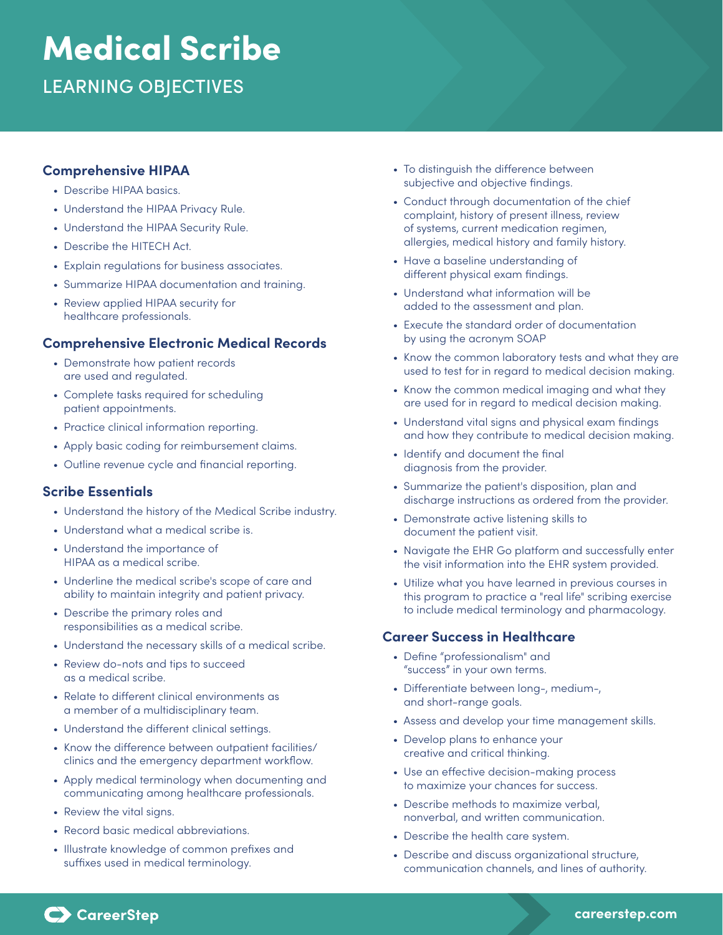# Medical Scribe

LEARNING OBJECTIVES

#### **Comprehensive HIPAA**

- Describe HIPAA basics.
- Understand the HIPAA Privacy Rule.
- Understand the HIPAA Security Rule.
- Describe the HITECH Act.
- Explain regulations for business associates.
- Summarize HIPAA documentation and training.
- Review applied HIPAA security for healthcare professionals.

# **Comprehensive Electronic Medical Records**

- Demonstrate how patient records are used and regulated.
- Complete tasks required for scheduling patient appointments.
- Practice clinical information reporting.
- Apply basic coding for reimbursement claims.
- Outline revenue cycle and financial reporting.

#### **Scribe Essentials**

- Understand the history of the Medical Scribe industry.
- Understand what a medical scribe is.
- Understand the importance of HIPAA as a medical scribe.
- Underline the medical scribe's scope of care and ability to maintain integrity and patient privacy.
- Describe the primary roles and responsibilities as a medical scribe.
- Understand the necessary skills of a medical scribe.
- Review do-nots and tips to succeed as a medical scribe.
- Relate to different clinical environments as a member of a multidisciplinary team.
- Understand the different clinical settings.
- Know the difference between outpatient facilities/ clinics and the emergency department workflow.
- Apply medical terminology when documenting and communicating among healthcare professionals.
- Review the vital signs.
- Record basic medical abbreviations.
- Illustrate knowledge of common prefixes and suffixes used in medical terminology.
- To distinguish the difference between subjective and objective findings.
- Conduct through documentation of the chief complaint, history of present illness, review of systems, current medication regimen, allergies, medical history and family history.
- Have a baseline understanding of different physical exam findings.
- Understand what information will be added to the assessment and plan.
- Execute the standard order of documentation by using the acronym SOAP
- Know the common laboratory tests and what they are used to test for in regard to medical decision making.
- Know the common medical imaging and what they are used for in regard to medical decision making.
- Understand vital signs and physical exam findings and how they contribute to medical decision making.
- Identify and document the final diagnosis from the provider.
- Summarize the patient's disposition, plan and discharge instructions as ordered from the provider.
- Demonstrate active listening skills to document the patient visit.
- Navigate the EHR Go platform and successfully enter the visit information into the EHR system provided.
- Utilize what you have learned in previous courses in this program to practice a "real life" scribing exercise to include medical terminology and pharmacology.

# **Career Success in Healthcare**

- Define "professionalism" and "success" in your own terms.
- Differentiate between long-, medium-, and short-range goals.
- Assess and develop your time management skills.
- Develop plans to enhance your creative and critical thinking.
- Use an effective decision-making process to maximize your chances for success.
- Describe methods to maximize verbal, nonverbal, and written communication.
- Describe the health care system.
- Describe and discuss organizational structure, communication channels, and lines of authority.